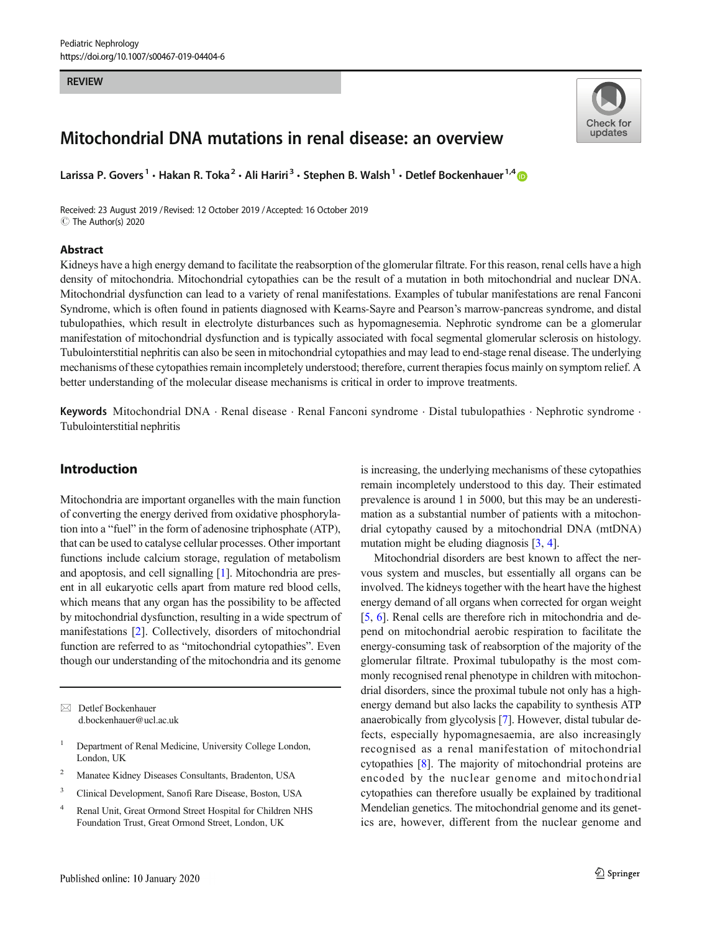#### **REVIEW**

# Mitochondrial DNA mutations in renal disease: an overview

Larissa P. Govers<sup>1</sup> · Hakan R. Toka<sup>2</sup> · Ali Hariri<sup>3</sup> · Stephen B. Walsh<sup>1</sup> · Detlef Bockenhauer<sup>1,4</sup>

Received: 23 August 2019 / Revised: 12 October 2019 /Accepted: 16 October 2019  $\circledcirc$  The Author(s) 2020

## Abstract



Kidneys have a high energy demand to facilitate the reabsorption of the glomerular filtrate. For this reason, renal cells have a high density of mitochondria. Mitochondrial cytopathies can be the result of a mutation in both mitochondrial and nuclear DNA. Mitochondrial dysfunction can lead to a variety of renal manifestations. Examples of tubular manifestations are renal Fanconi Syndrome, which is often found in patients diagnosed with Kearns-Sayre and Pearson's marrow-pancreas syndrome, and distal tubulopathies, which result in electrolyte disturbances such as hypomagnesemia. Nephrotic syndrome can be a glomerular manifestation of mitochondrial dysfunction and is typically associated with focal segmental glomerular sclerosis on histology. Tubulointerstitial nephritis can also be seen in mitochondrial cytopathies and may lead to end-stage renal disease. The underlying mechanisms of these cytopathies remain incompletely understood; therefore, current therapies focus mainly on symptom relief. A better understanding of the molecular disease mechanisms is critical in order to improve treatments.

Keywords Mitochondrial DNA · Renal disease · Renal Fanconi syndrome · Distal tubulopathies · Nephrotic syndrome · Tubulointerstitial nephritis

# Introduction

Mitochondria are important organelles with the main function of converting the energy derived from oxidative phosphorylation into a "fuel" in the form of adenosine triphosphate (ATP), that can be used to catalyse cellular processes. Other important functions include calcium storage, regulation of metabolism and apoptosis, and cell signalling [[1\]](#page-6-0). Mitochondria are present in all eukaryotic cells apart from mature red blood cells, which means that any organ has the possibility to be affected by mitochondrial dysfunction, resulting in a wide spectrum of manifestations [[2\]](#page-6-0). Collectively, disorders of mitochondrial function are referred to as "mitochondrial cytopathies". Even though our understanding of the mitochondria and its genome

 $\boxtimes$  Detlef Bockenhauer [d.bockenhauer@ucl.ac.uk](mailto:d.bockenhauer@ucl.ac.uk)

- <sup>1</sup> Department of Renal Medicine, University College London, London, UK
- <sup>2</sup> Manatee Kidney Diseases Consultants, Bradenton, USA
- <sup>3</sup> Clinical Development, Sanofi Rare Disease, Boston, USA
- <sup>4</sup> Renal Unit, Great Ormond Street Hospital for Children NHS Foundation Trust, Great Ormond Street, London, UK

is increasing, the underlying mechanisms of these cytopathies remain incompletely understood to this day. Their estimated prevalence is around 1 in 5000, but this may be an underestimation as a substantial number of patients with a mitochondrial cytopathy caused by a mitochondrial DNA (mtDNA) mutation might be eluding diagnosis [\[3](#page-6-0), [4](#page-6-0)].

Mitochondrial disorders are best known to affect the nervous system and muscles, but essentially all organs can be involved. The kidneys together with the heart have the highest energy demand of all organs when corrected for organ weight [\[5](#page-6-0), [6\]](#page-6-0). Renal cells are therefore rich in mitochondria and depend on mitochondrial aerobic respiration to facilitate the energy-consuming task of reabsorption of the majority of the glomerular filtrate. Proximal tubulopathy is the most commonly recognised renal phenotype in children with mitochondrial disorders, since the proximal tubule not only has a highenergy demand but also lacks the capability to synthesis ATP anaerobically from glycolysis [\[7](#page-6-0)]. However, distal tubular defects, especially hypomagnesaemia, are also increasingly recognised as a renal manifestation of mitochondrial cytopathies [\[8](#page-6-0)]. The majority of mitochondrial proteins are encoded by the nuclear genome and mitochondrial cytopathies can therefore usually be explained by traditional Mendelian genetics. The mitochondrial genome and its genetics are, however, different from the nuclear genome and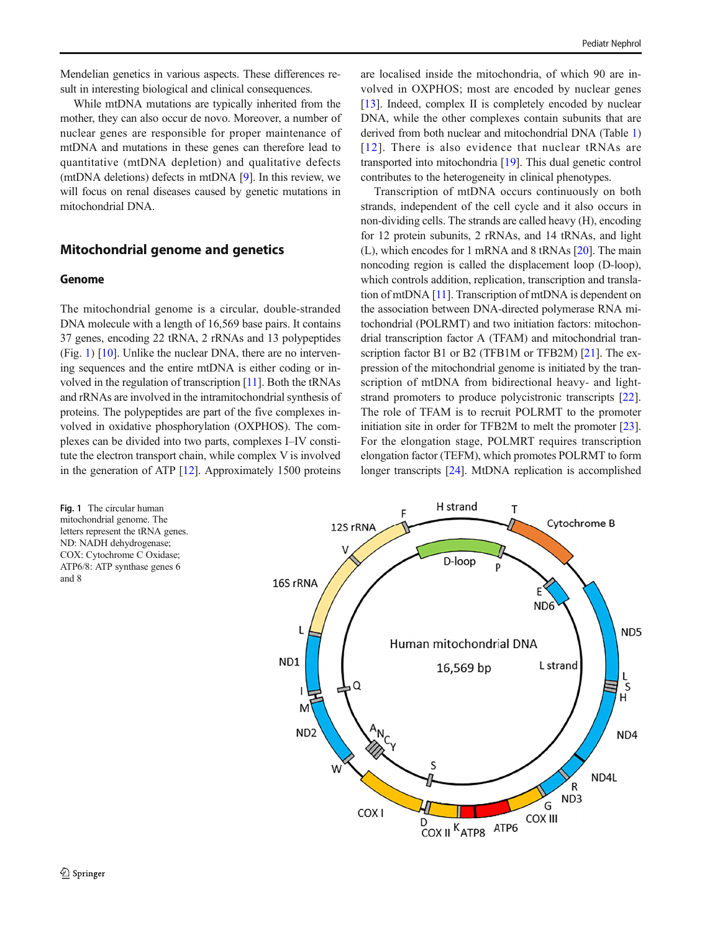<span id="page-1-0"></span>Mendelian genetics in various aspects. These differences result in interesting biological and clinical consequences.

While mtDNA mutations are typically inherited from the mother, they can also occur de novo. Moreover, a number of nuclear genes are responsible for proper maintenance of mtDNA and mutations in these genes can therefore lead to quantitative (mtDNA depletion) and qualitative defects (mtDNA deletions) defects in mtDNA [\[9](#page-6-0)]. In this review, we will focus on renal diseases caused by genetic mutations in mitochondrial DNA.

# Mitochondrial genome and genetics

#### Genome

The mitochondrial genome is a circular, double-stranded DNA molecule with a length of 16,569 base pairs. It contains 37 genes, encoding 22 tRNA, 2 rRNAs and 13 polypeptides (Fig. 1) [\[10\]](#page-6-0). Unlike the nuclear DNA, there are no intervening sequences and the entire mtDNA is either coding or involved in the regulation of transcription [\[11\]](#page-6-0). Both the tRNAs and rRNAs are involved in the intramitochondrial synthesis of proteins. The polypeptides are part of the five complexes involved in oxidative phosphorylation (OXPHOS). The complexes can be divided into two parts, complexes I–IV constitute the electron transport chain, while complex V is involved in the generation of ATP [\[12\]](#page-6-0). Approximately 1500 proteins

are localised inside the mitochondria, of which 90 are involved in OXPHOS; most are encoded by nuclear genes [\[13](#page-6-0)]. Indeed, complex II is completely encoded by nuclear DNA, while the other complexes contain subunits that are derived from both nuclear and mitochondrial DNA (Table [1](#page-2-0)) [[12\]](#page-6-0). There is also evidence that nuclear tRNAs are transported into mitochondria [\[19\]](#page-6-0). This dual genetic control contributes to the heterogeneity in clinical phenotypes.

Transcription of mtDNA occurs continuously on both strands, independent of the cell cycle and it also occurs in non-dividing cells. The strands are called heavy (H), encoding for 12 protein subunits, 2 rRNAs, and 14 tRNAs, and light (L), which encodes for 1 mRNA and 8 tRNAs [[20\]](#page-6-0). The main noncoding region is called the displacement loop (D-loop), which controls addition, replication, transcription and translation of mtDNA [[11](#page-6-0)]. Transcription of mtDNA is dependent on the association between DNA-directed polymerase RNA mitochondrial (POLRMT) and two initiation factors: mitochondrial transcription factor A (TFAM) and mitochondrial tran-scription factor B1 or B2 (TFB1M or TFB2M) [[21\]](#page-6-0). The expression of the mitochondrial genome is initiated by the transcription of mtDNA from bidirectional heavy- and lightstrand promoters to produce polycistronic transcripts [[22\]](#page-6-0). The role of TFAM is to recruit POLRMT to the promoter initiation site in order for TFB2M to melt the promoter [[23\]](#page-6-0). For the elongation stage, POLMRT requires transcription elongation factor (TEFM), which promotes POLRMT to form longer transcripts [\[24\]](#page-6-0). MtDNA replication is accomplished

Fig. 1 The circular human mitochondrial genome. The letters represent the tRNA genes. ND: NADH dehydrogenase; COX: Cytochrome C Oxidase; ATP6/8: ATP synthase genes 6 and 8

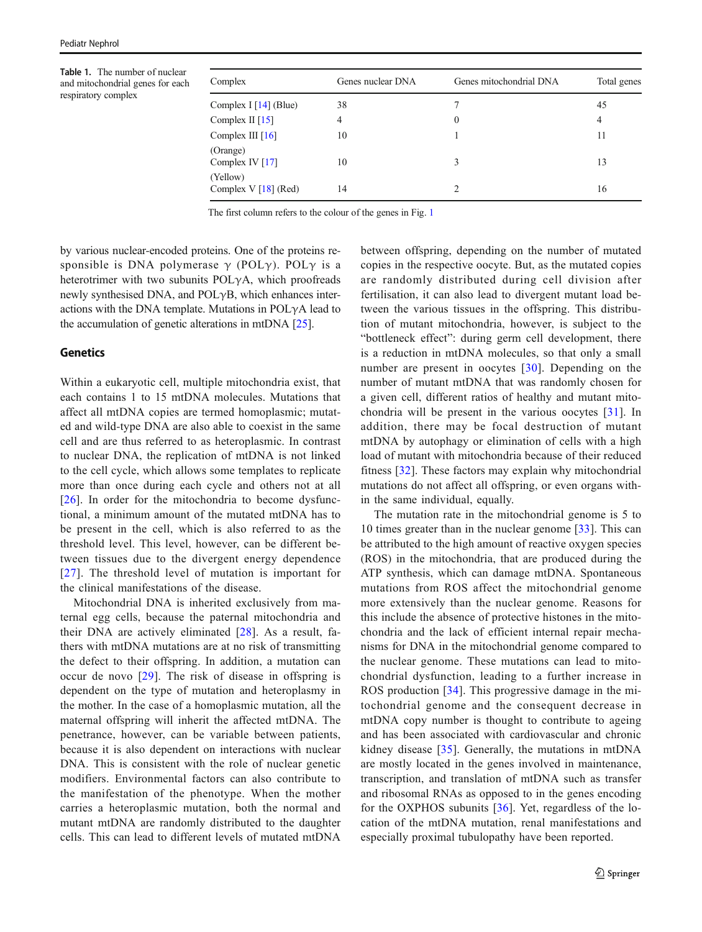<span id="page-2-0"></span>Table 1. The number of nuclear and mitochondrial genes for each respiratory complex

| Complex                            | Genes nuclear DNA | Genes mitochondrial DNA | Total genes |
|------------------------------------|-------------------|-------------------------|-------------|
| Complex I $[14]$ (Blue)            | 38                | 7                       | 45          |
| Complex II $[15]$                  | 4                 | $\mathbf{0}$            | 4           |
| Complex III $[16]$                 | 10                |                         | 11          |
| (Orange)<br>Complex IV $[17]$      | 10                | 3                       | 13          |
| (Yellow)<br>Complex $V$ [18] (Red) | 14                | 2                       | 16          |

The first column refers to the colour of the genes in Fig. [1](#page-1-0)

by various nuclear-encoded proteins. One of the proteins responsible is DNA polymerase  $\gamma$  (POL $\gamma$ ). POL $\gamma$  is a heterotrimer with two subunits POLγA, which proofreads newly synthesised DNA, and POLγB, which enhances interactions with the DNA template. Mutations in POLγA lead to the accumulation of genetic alterations in mtDNA [\[25](#page-6-0)].

#### **Genetics**

Within a eukaryotic cell, multiple mitochondria exist, that each contains 1 to 15 mtDNA molecules. Mutations that affect all mtDNA copies are termed homoplasmic; mutated and wild-type DNA are also able to coexist in the same cell and are thus referred to as heteroplasmic. In contrast to nuclear DNA, the replication of mtDNA is not linked to the cell cycle, which allows some templates to replicate more than once during each cycle and others not at all [\[26\]](#page-6-0). In order for the mitochondria to become dysfunctional, a minimum amount of the mutated mtDNA has to be present in the cell, which is also referred to as the threshold level. This level, however, can be different between tissues due to the divergent energy dependence [\[27\]](#page-6-0). The threshold level of mutation is important for the clinical manifestations of the disease.

Mitochondrial DNA is inherited exclusively from maternal egg cells, because the paternal mitochondria and their DNA are actively eliminated [[28\]](#page-6-0). As a result, fathers with mtDNA mutations are at no risk of transmitting the defect to their offspring. In addition, a mutation can occur de novo [[29\]](#page-6-0). The risk of disease in offspring is dependent on the type of mutation and heteroplasmy in the mother. In the case of a homoplasmic mutation, all the maternal offspring will inherit the affected mtDNA. The penetrance, however, can be variable between patients, because it is also dependent on interactions with nuclear DNA. This is consistent with the role of nuclear genetic modifiers. Environmental factors can also contribute to the manifestation of the phenotype. When the mother carries a heteroplasmic mutation, both the normal and mutant mtDNA are randomly distributed to the daughter cells. This can lead to different levels of mutated mtDNA

between offspring, depending on the number of mutated copies in the respective oocyte. But, as the mutated copies are randomly distributed during cell division after fertilisation, it can also lead to divergent mutant load between the various tissues in the offspring. This distribution of mutant mitochondria, however, is subject to the "bottleneck effect": during germ cell development, there is a reduction in mtDNA molecules, so that only a small number are present in oocytes [[30](#page-6-0)]. Depending on the number of mutant mtDNA that was randomly chosen for a given cell, different ratios of healthy and mutant mitochondria will be present in the various oocytes [\[31\]](#page-6-0). In addition, there may be focal destruction of mutant mtDNA by autophagy or elimination of cells with a high load of mutant with mitochondria because of their reduced fitness [[32\]](#page-6-0). These factors may explain why mitochondrial mutations do not affect all offspring, or even organs within the same individual, equally.

The mutation rate in the mitochondrial genome is 5 to 10 times greater than in the nuclear genome [[33\]](#page-6-0). This can be attributed to the high amount of reactive oxygen species (ROS) in the mitochondria, that are produced during the ATP synthesis, which can damage mtDNA. Spontaneous mutations from ROS affect the mitochondrial genome more extensively than the nuclear genome. Reasons for this include the absence of protective histones in the mitochondria and the lack of efficient internal repair mechanisms for DNA in the mitochondrial genome compared to the nuclear genome. These mutations can lead to mitochondrial dysfunction, leading to a further increase in ROS production [\[34](#page-6-0)]. This progressive damage in the mitochondrial genome and the consequent decrease in mtDNA copy number is thought to contribute to ageing and has been associated with cardiovascular and chronic kidney disease [\[35](#page-6-0)]. Generally, the mutations in mtDNA are mostly located in the genes involved in maintenance, transcription, and translation of mtDNA such as transfer and ribosomal RNAs as opposed to in the genes encoding for the OXPHOS subunits [[36\]](#page-6-0). Yet, regardless of the location of the mtDNA mutation, renal manifestations and especially proximal tubulopathy have been reported.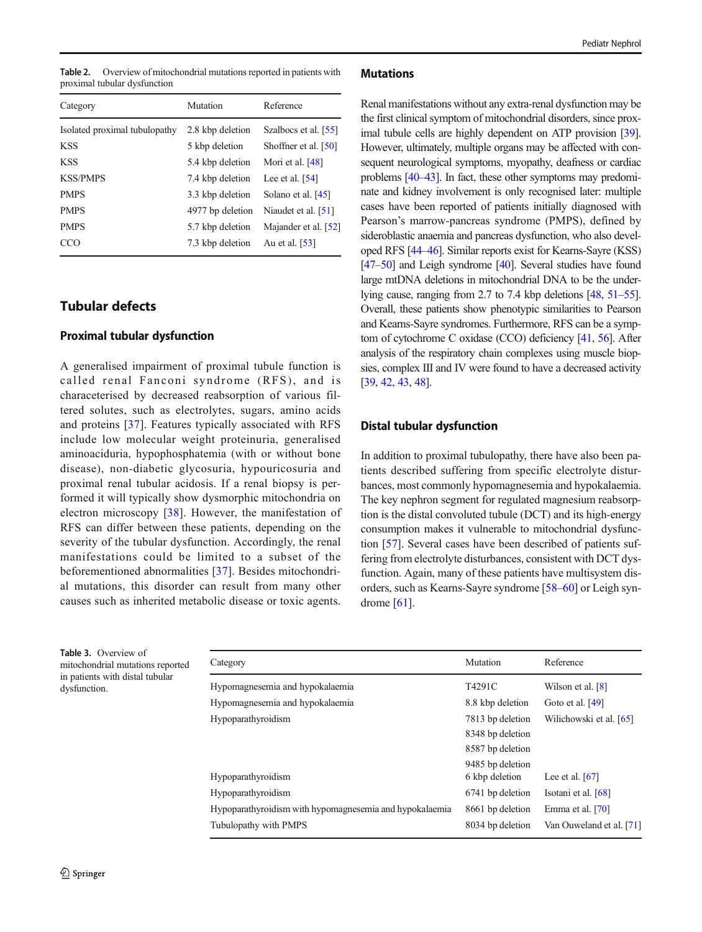<span id="page-3-0"></span>Table 2. Overview of mitochondrial mutations reported in patients with proximal tubular dysfunction

| Category                      | Mutation         | Reference            |
|-------------------------------|------------------|----------------------|
| Isolated proximal tubulopathy | 2.8 kbp deletion | Szalbocs et al. [55] |
| <b>KSS</b>                    | 5 kbp deletion   | Shoffner et al. [50] |
| <b>KSS</b>                    | 5.4 kbp deletion | Mori et al. [48]     |
| <b>KSS/PMPS</b>               | 7.4 kbp deletion | Lee et al. $[54]$    |
| <b>PMPS</b>                   | 3.3 kbp deletion | Solano et al. [45]   |
| <b>PMPS</b>                   | 4977 bp deletion | Niaudet et al. [51]  |
| <b>PMPS</b>                   | 5.7 kbp deletion | Majander et al. [52] |
| CCO                           | 7.3 kbp deletion | Au et al. [53]       |

# Tubular defects

#### Proximal tubular dysfunction

A generalised impairment of proximal tubule function is called renal Fanconi syndrome (RFS), and is characeterised by decreased reabsorption of various filtered solutes, such as electrolytes, sugars, amino acids and proteins [[37\]](#page-7-0). Features typically associated with RFS include low molecular weight proteinuria, generalised aminoaciduria, hypophosphatemia (with or without bone disease), non-diabetic glycosuria, hypouricosuria and proximal renal tubular acidosis. If a renal biopsy is performed it will typically show dysmorphic mitochondria on electron microscopy [[38](#page-7-0)]. However, the manifestation of RFS can differ between these patients, depending on the severity of the tubular dysfunction. Accordingly, the renal manifestations could be limited to a subset of the beforementioned abnormalities [\[37](#page-7-0)]. Besides mitochondrial mutations, this disorder can result from many other causes such as inherited metabolic disease or toxic agents.

Pediatr Nephrol

#### **Mutations**

Renal manifestations without any extra-renal dysfunction may be the first clinical symptom of mitochondrial disorders, since proximal tubule cells are highly dependent on ATP provision [\[39\]](#page-7-0). However, ultimately, multiple organs may be affected with consequent neurological symptoms, myopathy, deafness or cardiac problems [\[40](#page-7-0)–[43\]](#page-7-0). In fact, these other symptoms may predominate and kidney involvement is only recognised later: multiple cases have been reported of patients initially diagnosed with Pearson's marrow-pancreas syndrome (PMPS), defined by sideroblastic anaemia and pancreas dysfunction, who also developed RFS [[44](#page-7-0)–[46](#page-7-0)]. Similar reports exist for Kearns-Sayre (KSS) [\[47](#page-7-0)–[50\]](#page-7-0) and Leigh syndrome [\[40](#page-7-0)]. Several studies have found large mtDNA deletions in mitochondrial DNA to be the underlying cause, ranging from 2.7 to 7.4 kbp deletions [\[48](#page-7-0), [51](#page-7-0)–[55\]](#page-7-0). Overall, these patients show phenotypic similarities to Pearson and Kearns-Sayre syndromes. Furthermore, RFS can be a symptom of cytochrome C oxidase (CCO) deficiency [\[41](#page-7-0), [56\]](#page-7-0). After analysis of the respiratory chain complexes using muscle biopsies, complex III and IV were found to have a decreased activity [\[39](#page-7-0), [42,](#page-7-0) [43](#page-7-0), [48](#page-7-0)].

#### Distal tubular dysfunction

In addition to proximal tubulopathy, there have also been patients described suffering from specific electrolyte disturbances, most commonly hypomagnesemia and hypokalaemia. The key nephron segment for regulated magnesium reabsorption is the distal convoluted tubule (DCT) and its high-energy consumption makes it vulnerable to mitochondrial dysfunction [[57](#page-7-0)]. Several cases have been described of patients suffering from electrolyte disturbances, consistent with DCT dysfunction. Again, many of these patients have multisystem disorders, such as Kearns-Sayre syndrome [[58](#page-7-0)–[60](#page-7-0)] or Leigh syndrome [[61\]](#page-7-0).

Table 3. Overview of mitochondrial mutations reported in patients with distal tubular dysfunction.

| Category                                                | Mutation         | Reference                |
|---------------------------------------------------------|------------------|--------------------------|
| Hypomagnesemia and hypokalaemia                         | T4291C           | Wilson et al. [8]        |
| Hypomagnesemia and hypokalaemia                         | 8.8 kbp deletion | Goto et al. [49]         |
| Hypoparathyroidism                                      | 7813 bp deletion | Wilichowski et al. [65]  |
|                                                         | 8348 bp deletion |                          |
|                                                         | 8587 bp deletion |                          |
|                                                         | 9485 bp deletion |                          |
| Hypoparathyroidism                                      | 6 kbp deletion   | Lee et al. $[67]$        |
| Hypoparathyroidism                                      | 6741 bp deletion | Isotani et al. [68]      |
| Hypoparathyroidism with hypomagnesemia and hypokalaemia | 8661 bp deletion | Emma et al. [70]         |
| Tubulopathy with PMPS                                   | 8034 bp deletion | Van Ouweland et al. [71] |
|                                                         |                  |                          |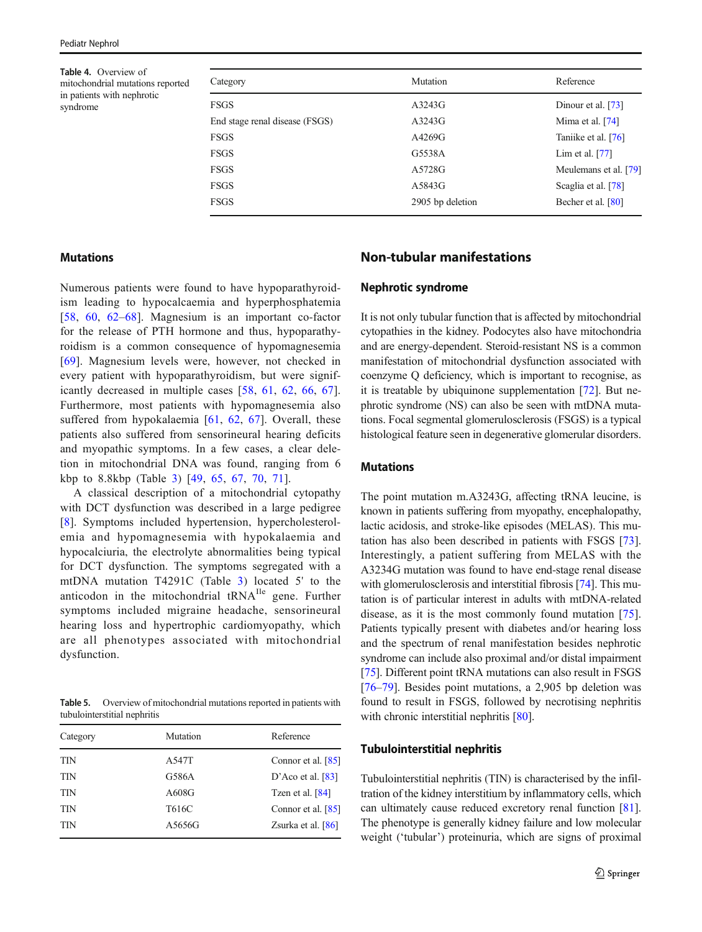Table 4. Overview of mitochondrial mutations reported in patients with nephrotic syndrome

| Mutation         | Reference             |
|------------------|-----------------------|
| A3243G           | Dinour et al. [73]    |
| A3243G           | Mima et al. [74]      |
| A4269G           | Taniike et al. [76]   |
| G5538A           | Lim et al. $[77]$     |
| A5728G           | Meulemans et al. [79] |
| A5843G           | Scaglia et al. [78]   |
| 2905 bp deletion | Becher et al. [80]    |
|                  |                       |

#### **Mutations**

Numerous patients were found to have hypoparathyroidism leading to hypocalcaemia and hyperphosphatemia [\[58,](#page-7-0) [60,](#page-7-0) [62](#page-7-0)–[68](#page-7-0)]. Magnesium is an important co-factor for the release of PTH hormone and thus, hypoparathyroidism is a common consequence of hypomagnesemia [\[69\]](#page-7-0). Magnesium levels were, however, not checked in every patient with hypoparathyroidism, but were significantly decreased in multiple cases [\[58,](#page-7-0) [61](#page-7-0), [62](#page-7-0), [66](#page-7-0), [67](#page-7-0)]. Furthermore, most patients with hypomagnesemia also suffered from hypokalaemia [[61,](#page-7-0) [62,](#page-7-0) [67\]](#page-7-0). Overall, these patients also suffered from sensorineural hearing deficits and myopathic symptoms. In a few cases, a clear deletion in mitochondrial DNA was found, ranging from 6 kbp to 8.8kbp (Table [3\)](#page-3-0) [[49](#page-7-0), [65](#page-7-0), [67,](#page-7-0) [70,](#page-7-0) [71](#page-7-0)].

A classical description of a mitochondrial cytopathy with DCT dysfunction was described in a large pedigree [\[8](#page-6-0)]. Symptoms included hypertension, hypercholesterolemia and hypomagnesemia with hypokalaemia and hypocalciuria, the electrolyte abnormalities being typical for DCT dysfunction. The symptoms segregated with a mtDNA mutation T4291C (Table [3\)](#page-3-0) located 5' to the anticodon in the mitochondrial tRNA<sup>Ile</sup> gene. Further symptoms included migraine headache, sensorineural hearing loss and hypertrophic cardiomyopathy, which are all phenotypes associated with mitochondrial dysfunction.

Table 5. Overview of mitochondrial mutations reported in patients with tubulointerstitial nephritis

| Category   | Mutation | Reference            |
|------------|----------|----------------------|
| <b>TIN</b> | A547T    | Connor et al. [85]   |
| <b>TIN</b> | G586A    | D'Aco et al. $[83]$  |
| <b>TIN</b> | A608G    | Tzen et al. [84]     |
| <b>TIN</b> | T616C    | Connor et al. [85]   |
| <b>TIN</b> | A5656G   | Zsurka et al. $[86]$ |

# Non-tubular manifestations

#### Nephrotic syndrome

It is not only tubular function that is affected by mitochondrial cytopathies in the kidney. Podocytes also have mitochondria and are energy-dependent. Steroid-resistant NS is a common manifestation of mitochondrial dysfunction associated with coenzyme Q deficiency, which is important to recognise, as it is treatable by ubiquinone supplementation [[72\]](#page-7-0). But nephrotic syndrome (NS) can also be seen with mtDNA mutations. Focal segmental glomerulosclerosis (FSGS) is a typical histological feature seen in degenerative glomerular disorders.

## **Mutations**

The point mutation m.A3243G, affecting tRNA leucine, is known in patients suffering from myopathy, encephalopathy, lactic acidosis, and stroke-like episodes (MELAS). This mutation has also been described in patients with FSGS [[73\]](#page-8-0). Interestingly, a patient suffering from MELAS with the A3234G mutation was found to have end-stage renal disease with glomerulosclerosis and interstitial fibrosis [[74](#page-8-0)]. This mutation is of particular interest in adults with mtDNA-related disease, as it is the most commonly found mutation [\[75](#page-8-0)]. Patients typically present with diabetes and/or hearing loss and the spectrum of renal manifestation besides nephrotic syndrome can include also proximal and/or distal impairment [\[75](#page-8-0)]. Different point tRNA mutations can also result in FSGS [\[76](#page-8-0)–[79](#page-8-0)]. Besides point mutations, a 2,905 bp deletion was found to result in FSGS, followed by necrotising nephritis with chronic interstitial nephritis [\[80](#page-8-0)].

#### Tubulointerstitial nephritis

Tubulointerstitial nephritis (TIN) is characterised by the infiltration of the kidney interstitium by inflammatory cells, which can ultimately cause reduced excretory renal function [[81\]](#page-8-0). The phenotype is generally kidney failure and low molecular weight ('tubular') proteinuria, which are signs of proximal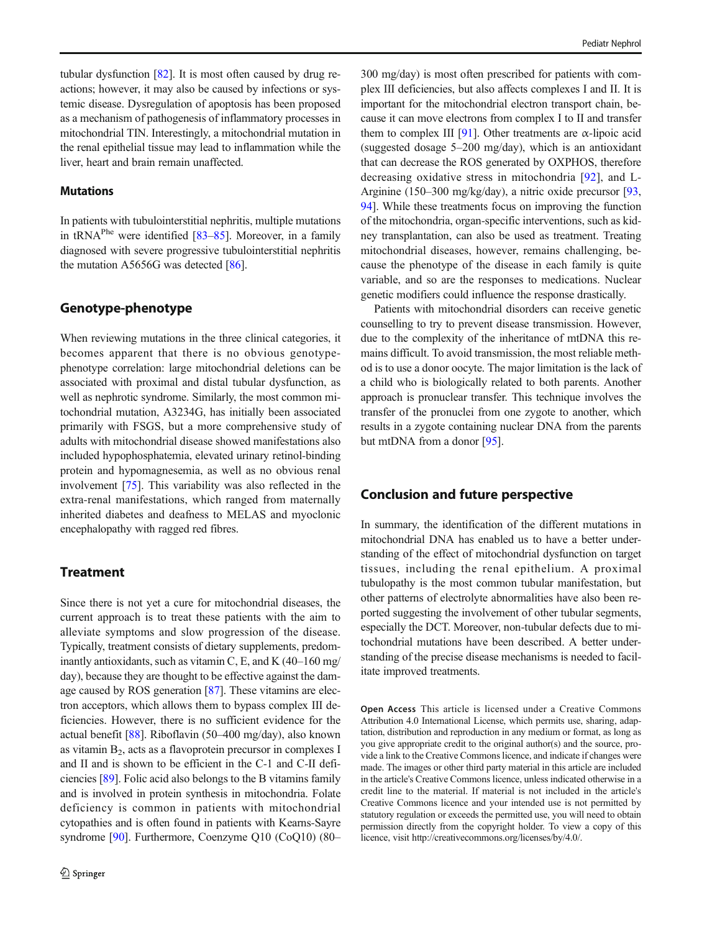tubular dysfunction [\[82](#page-8-0)]. It is most often caused by drug reactions; however, it may also be caused by infections or systemic disease. Dysregulation of apoptosis has been proposed as a mechanism of pathogenesis of inflammatory processes in mitochondrial TIN. Interestingly, a mitochondrial mutation in the renal epithelial tissue may lead to inflammation while the liver, heart and brain remain unaffected.

## **Mutations**

In patients with tubulointerstitial nephritis, multiple mutations in tRNAPhe were identified [[83](#page-8-0)–[85](#page-8-0)]. Moreover, in a family diagnosed with severe progressive tubulointerstitial nephritis the mutation A5656G was detected [[86](#page-8-0)].

## Genotype-phenotype

When reviewing mutations in the three clinical categories, it becomes apparent that there is no obvious genotypephenotype correlation: large mitochondrial deletions can be associated with proximal and distal tubular dysfunction, as well as nephrotic syndrome. Similarly, the most common mitochondrial mutation, A3234G, has initially been associated primarily with FSGS, but a more comprehensive study of adults with mitochondrial disease showed manifestations also included hypophosphatemia, elevated urinary retinol-binding protein and hypomagnesemia, as well as no obvious renal involvement [[75\]](#page-8-0). This variability was also reflected in the extra-renal manifestations, which ranged from maternally inherited diabetes and deafness to MELAS and myoclonic encephalopathy with ragged red fibres.

# **Treatment**

Since there is not yet a cure for mitochondrial diseases, the current approach is to treat these patients with the aim to alleviate symptoms and slow progression of the disease. Typically, treatment consists of dietary supplements, predominantly antioxidants, such as vitamin C, E, and K (40–160 mg/ day), because they are thought to be effective against the damage caused by ROS generation [[87](#page-8-0)]. These vitamins are electron acceptors, which allows them to bypass complex III deficiencies. However, there is no sufficient evidence for the actual benefit [\[88](#page-8-0)]. Riboflavin (50–400 mg/day), also known as vitamin  $B_2$ , acts as a flavoprotein precursor in complexes I and II and is shown to be efficient in the C-1 and C-II deficiencies [\[89](#page-8-0)]. Folic acid also belongs to the B vitamins family and is involved in protein synthesis in mitochondria. Folate deficiency is common in patients with mitochondrial cytopathies and is often found in patients with Kearns-Sayre syndrome [[90\]](#page-8-0). Furthermore, Coenzyme Q10 (CoQ10) (80–

300 mg/day) is most often prescribed for patients with complex III deficiencies, but also affects complexes I and II. It is important for the mitochondrial electron transport chain, because it can move electrons from complex I to II and transfer them to complex III [[91](#page-8-0)]. Other treatments are  $\alpha$ -lipoic acid (suggested dosage 5–200 mg/day), which is an antioxidant that can decrease the ROS generated by OXPHOS, therefore decreasing oxidative stress in mitochondria [[92](#page-8-0)], and L-Arginine (150–300 mg/kg/day), a nitric oxide precursor [\[93,](#page-8-0) [94\]](#page-8-0). While these treatments focus on improving the function of the mitochondria, organ-specific interventions, such as kidney transplantation, can also be used as treatment. Treating mitochondrial diseases, however, remains challenging, because the phenotype of the disease in each family is quite variable, and so are the responses to medications. Nuclear genetic modifiers could influence the response drastically.

Patients with mitochondrial disorders can receive genetic counselling to try to prevent disease transmission. However, due to the complexity of the inheritance of mtDNA this remains difficult. To avoid transmission, the most reliable method is to use a donor oocyte. The major limitation is the lack of a child who is biologically related to both parents. Another approach is pronuclear transfer. This technique involves the transfer of the pronuclei from one zygote to another, which results in a zygote containing nuclear DNA from the parents but mtDNA from a donor [\[95](#page-8-0)].

## Conclusion and future perspective

In summary, the identification of the different mutations in mitochondrial DNA has enabled us to have a better understanding of the effect of mitochondrial dysfunction on target tissues, including the renal epithelium. A proximal tubulopathy is the most common tubular manifestation, but other patterns of electrolyte abnormalities have also been reported suggesting the involvement of other tubular segments, especially the DCT. Moreover, non-tubular defects due to mitochondrial mutations have been described. A better understanding of the precise disease mechanisms is needed to facilitate improved treatments.

Open Access This article is licensed under a Creative Commons Attribution 4.0 International License, which permits use, sharing, adaptation, distribution and reproduction in any medium or format, as long as you give appropriate credit to the original author(s) and the source, provide a link to the Creative Commons licence, and indicate if changes were made. The images or other third party material in this article are included in the article's Creative Commons licence, unless indicated otherwise in a credit line to the material. If material is not included in the article's Creative Commons licence and your intended use is not permitted by statutory regulation or exceeds the permitted use, you will need to obtain permission directly from the copyright holder. To view a copy of this licence, visit http://creativecommons.org/licenses/by/4.0/.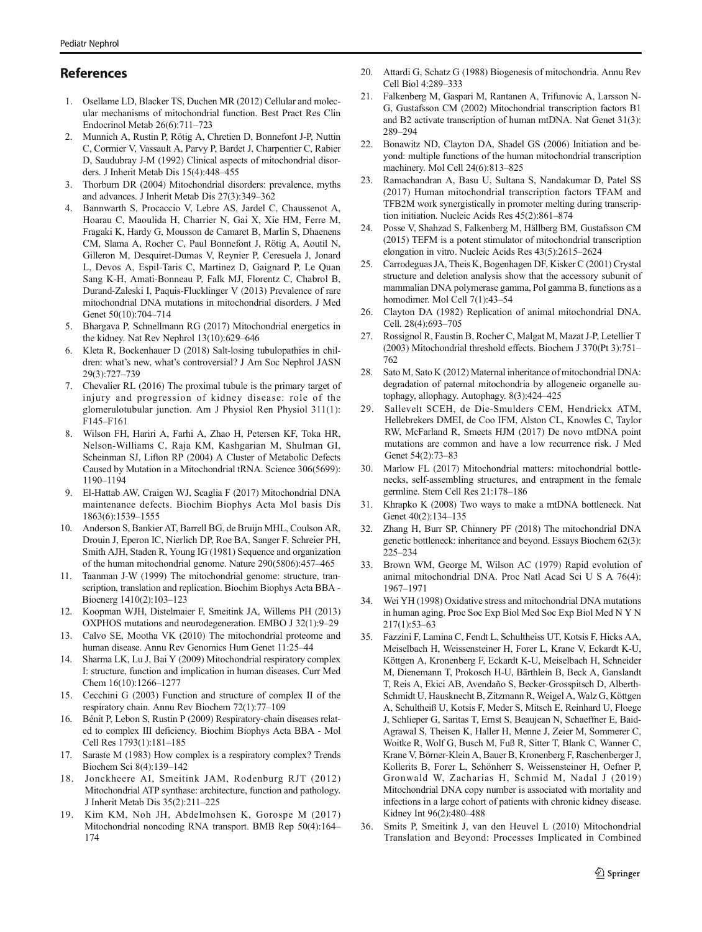## <span id="page-6-0"></span>References

- 1. Osellame LD, Blacker TS, Duchen MR (2012) Cellular and molecular mechanisms of mitochondrial function. Best Pract Res Clin Endocrinol Metab 26(6):711–723
- 2. Munnich A, Rustin P, Rötig A, Chretien D, Bonnefont J-P, Nuttin C, Cormier V, Vassault A, Parvy P, Bardet J, Charpentier C, Rabier D, Saudubray J-M (1992) Clinical aspects of mitochondrial disorders. J Inherit Metab Dis 15(4):448–455
- 3. Thorburn DR (2004) Mitochondrial disorders: prevalence, myths and advances. J Inherit Metab Dis 27(3):349–362
- 4. Bannwarth S, Procaccio V, Lebre AS, Jardel C, Chaussenot A, Hoarau C, Maoulida H, Charrier N, Gai X, Xie HM, Ferre M, Fragaki K, Hardy G, Mousson de Camaret B, Marlin S, Dhaenens CM, Slama A, Rocher C, Paul Bonnefont J, Rötig A, Aoutil N, Gilleron M, Desquiret-Dumas V, Reynier P, Ceresuela J, Jonard L, Devos A, Espil-Taris C, Martinez D, Gaignard P, Le Quan Sang K-H, Amati-Bonneau P, Falk MJ, Florentz C, Chabrol B, Durand-Zaleski I, Paquis-Flucklinger V (2013) Prevalence of rare mitochondrial DNA mutations in mitochondrial disorders. J Med Genet 50(10):704–714
- 5. Bhargava P, Schnellmann RG (2017) Mitochondrial energetics in the kidney. Nat Rev Nephrol 13(10):629–646
- 6. Kleta R, Bockenhauer D (2018) Salt-losing tubulopathies in children: what's new, what's controversial? J Am Soc Nephrol JASN 29(3):727–739
- 7. Chevalier RL (2016) The proximal tubule is the primary target of injury and progression of kidney disease: role of the glomerulotubular junction. Am J Physiol Ren Physiol 311(1): F145–F161
- 8. Wilson FH, Hariri A, Farhi A, Zhao H, Petersen KF, Toka HR, Nelson-Williams C, Raja KM, Kashgarian M, Shulman GI, Scheinman SJ, Lifton RP (2004) A Cluster of Metabolic Defects Caused by Mutation in a Mitochondrial tRNA. Science 306(5699): 1190–1194
- 9. El-Hattab AW, Craigen WJ, Scaglia F (2017) Mitochondrial DNA maintenance defects. Biochim Biophys Acta Mol basis Dis 1863(6):1539–1555
- 10. Anderson S, Bankier AT, Barrell BG, de Bruijn MHL, Coulson AR, Drouin J, Eperon IC, Nierlich DP, Roe BA, Sanger F, Schreier PH, Smith AJH, Staden R, Young IG (1981) Sequence and organization of the human mitochondrial genome. Nature 290(5806):457–465
- 11. Taanman J-W (1999) The mitochondrial genome: structure, transcription, translation and replication. Biochim Biophys Acta BBA - Bioenerg 1410(2):103–123
- 12. Koopman WJH, Distelmaier F, Smeitink JA, Willems PH (2013) OXPHOS mutations and neurodegeneration. EMBO J 32(1):9–29
- 13. Calvo SE, Mootha VK (2010) The mitochondrial proteome and human disease. Annu Rev Genomics Hum Genet 11:25–44
- 14. Sharma LK, Lu J, Bai Y (2009) Mitochondrial respiratory complex I: structure, function and implication in human diseases. Curr Med Chem 16(10):1266–1277
- 15. Cecchini G (2003) Function and structure of complex II of the respiratory chain. Annu Rev Biochem 72(1):77–109
- 16. Bénit P, Lebon S, Rustin P (2009) Respiratory-chain diseases related to complex III deficiency. Biochim Biophys Acta BBA - Mol Cell Res 1793(1):181–185
- 17. Saraste M (1983) How complex is a respiratory complex? Trends Biochem Sci 8(4):139–142
- 18. Jonckheere AI, Smeitink JAM, Rodenburg RJT (2012) Mitochondrial ATP synthase: architecture, function and pathology. J Inherit Metab Dis 35(2):211–225
- 19. Kim KM, Noh JH, Abdelmohsen K, Gorospe M (2017) Mitochondrial noncoding RNA transport. BMB Rep 50(4):164– 174
- 20. Attardi G, Schatz G (1988) Biogenesis of mitochondria. Annu Rev Cell Biol 4:289–333
- 21. Falkenberg M, Gaspari M, Rantanen A, Trifunovic A, Larsson N-G, Gustafsson CM (2002) Mitochondrial transcription factors B1 and B2 activate transcription of human mtDNA. Nat Genet 31(3): 289–294
- 22. Bonawitz ND, Clayton DA, Shadel GS (2006) Initiation and beyond: multiple functions of the human mitochondrial transcription machinery. Mol Cell 24(6):813–825
- 23. Ramachandran A, Basu U, Sultana S, Nandakumar D, Patel SS (2017) Human mitochondrial transcription factors TFAM and TFB2M work synergistically in promoter melting during transcription initiation. Nucleic Acids Res 45(2):861–874
- 24. Posse V, Shahzad S, Falkenberg M, Hällberg BM, Gustafsson CM (2015) TEFM is a potent stimulator of mitochondrial transcription elongation in vitro. Nucleic Acids Res 43(5):2615–2624
- 25. Carrodeguas JA, Theis K, Bogenhagen DF, Kisker C (2001) Crystal structure and deletion analysis show that the accessory subunit of mammalian DNA polymerase gamma, Pol gamma B, functions as a homodimer. Mol Cell 7(1):43–54
- 26. Clayton DA (1982) Replication of animal mitochondrial DNA. Cell. 28(4):693–705
- 27. Rossignol R, Faustin B, Rocher C, Malgat M, Mazat J-P, Letellier T (2003) Mitochondrial threshold effects. Biochem J 370(Pt 3):751– 762
- 28. Sato M, Sato K (2012) Maternal inheritance of mitochondrial DNA: degradation of paternal mitochondria by allogeneic organelle autophagy, allophagy. Autophagy. 8(3):424–425
- 29. Sallevelt SCEH, de Die-Smulders CEM, Hendrickx ATM, Hellebrekers DMEI, de Coo IFM, Alston CL, Knowles C, Taylor RW, McFarland R, Smeets HJM (2017) De novo mtDNA point mutations are common and have a low recurrence risk. J Med Genet 54(2):73–83
- 30. Marlow FL (2017) Mitochondrial matters: mitochondrial bottlenecks, self-assembling structures, and entrapment in the female germline. Stem Cell Res 21:178–186
- 31. Khrapko K (2008) Two ways to make a mtDNA bottleneck. Nat Genet 40(2):134–135
- 32. Zhang H, Burr SP, Chinnery PF (2018) The mitochondrial DNA genetic bottleneck: inheritance and beyond. Essays Biochem 62(3): 225–234
- 33. Brown WM, George M, Wilson AC (1979) Rapid evolution of animal mitochondrial DNA. Proc Natl Acad Sci U S A 76(4): 1967–1971
- 34. Wei YH (1998) Oxidative stress and mitochondrial DNA mutations in human aging. Proc Soc Exp Biol Med Soc Exp Biol Med N Y N 217(1):53–63
- 35. Fazzini F, Lamina C, Fendt L, Schultheiss UT, Kotsis F, Hicks AA, Meiselbach H, Weissensteiner H, Forer L, Krane V, Eckardt K-U, Köttgen A, Kronenberg F, Eckardt K-U, Meiselbach H, Schneider M, Dienemann T, Prokosch H-U, Bärthlein B, Beck A, Ganslandt T, Reis A, Ekici AB, Avendaño S, Becker-Grosspitsch D, Alberth-Schmidt U, Hausknecht B, Zitzmann R, Weigel A, Walz G, Köttgen A, Schultheiß U, Kotsis F, Meder S, Mitsch E, Reinhard U, Floege J, Schlieper G, Saritas T, Ernst S, Beaujean N, Schaeffner E, Baid-Agrawal S, Theisen K, Haller H, Menne J, Zeier M, Sommerer C, Woitke R, Wolf G, Busch M, Fuß R, Sitter T, Blank C, Wanner C, Krane V, Börner-Klein A, Bauer B, Kronenberg F, Raschenberger J, Kollerits B, Forer L, Schönherr S, Weissensteiner H, Oefner P, Gronwald W, Zacharias H, Schmid M, Nadal J (2019) Mitochondrial DNA copy number is associated with mortality and infections in a large cohort of patients with chronic kidney disease. Kidney Int 96(2):480–488
- 36. Smits P, Smeitink J, van den Heuvel L (2010) Mitochondrial Translation and Beyond: Processes Implicated in Combined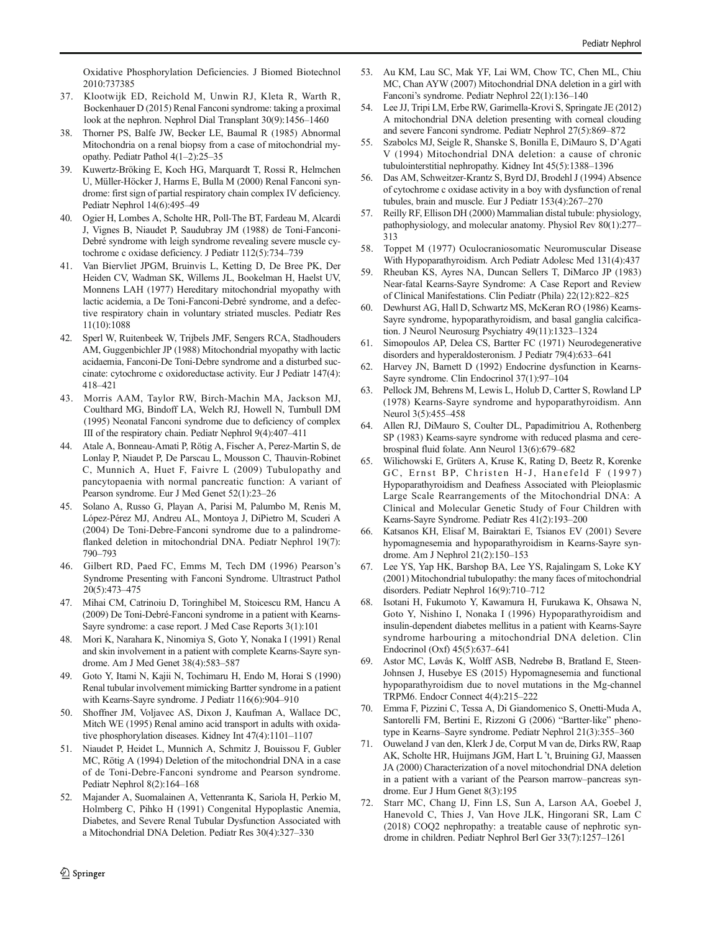<span id="page-7-0"></span>Oxidative Phosphorylation Deficiencies. J Biomed Biotechnol 2010:737385

- 37. Klootwijk ED, Reichold M, Unwin RJ, Kleta R, Warth R, Bockenhauer D (2015) Renal Fanconi syndrome: taking a proximal look at the nephron. Nephrol Dial Transplant 30(9):1456–1460
- 38. Thorner PS, Balfe JW, Becker LE, Baumal R (1985) Abnormal Mitochondria on a renal biopsy from a case of mitochondrial myopathy. Pediatr Pathol 4(1–2):25–35
- 39. Kuwertz-Bröking E, Koch HG, Marquardt T, Rossi R, Helmchen U, Müller-Höcker J, Harms E, Bulla M (2000) Renal Fanconi syndrome: first sign of partial respiratory chain complex IV deficiency. Pediatr Nephrol 14(6):495–49
- 40. Ogier H, Lombes A, Scholte HR, Poll-The BT, Fardeau M, Alcardi J, Vignes B, Niaudet P, Saudubray JM (1988) de Toni-Fanconi-Debré syndrome with leigh syndrome revealing severe muscle cytochrome c oxidase deficiency. J Pediatr 112(5):734–739
- 41. Van Biervliet JPGM, Bruinvis L, Ketting D, De Bree PK, Der Heiden CV, Wadman SK, Willems JL, Bookelman H, Haelst UV, Monnens LAH (1977) Hereditary mitochondrial myopathy with lactic acidemia, a De Toni-Fanconi-Debré syndrome, and a defective respiratory chain in voluntary striated muscles. Pediatr Res 11(10):1088
- 42. Sperl W, Ruitenbeek W, Trijbels JMF, Sengers RCA, Stadhouders AM, Guggenbichler JP (1988) Mitochondrial myopathy with lactic acidaemia, Fanconi-De Toni-Debre syndrome and a disturbed succinate: cytochrome c oxidoreductase activity. Eur J Pediatr 147(4): 418–421
- 43. Morris AAM, Taylor RW, Birch-Machin MA, Jackson MJ, Coulthard MG, Bindoff LA, Welch RJ, Howell N, Turnbull DM (1995) Neonatal Fanconi syndrome due to deficiency of complex III of the respiratory chain. Pediatr Nephrol 9(4):407–411
- 44. Atale A, Bonneau-Amati P, Rötig A, Fischer A, Perez-Martin S, de Lonlay P, Niaudet P, De Parscau L, Mousson C, Thauvin-Robinet C, Munnich A, Huet F, Faivre L (2009) Tubulopathy and pancytopaenia with normal pancreatic function: A variant of Pearson syndrome. Eur J Med Genet 52(1):23–26
- 45. Solano A, Russo G, Playan A, Parisi M, Palumbo M, Renis M, López-Pérez MJ, Andreu AL, Montoya J, DiPietro M, Scuderi A (2004) De Toni-Debre-Fanconi syndrome due to a palindromeflanked deletion in mitochondrial DNA. Pediatr Nephrol 19(7): 790–793
- 46. Gilbert RD, Paed FC, Emms M, Tech DM (1996) Pearson's Syndrome Presenting with Fanconi Syndrome. Ultrastruct Pathol 20(5):473–475
- 47. Mihai CM, Catrinoiu D, Toringhibel M, Stoicescu RM, Hancu A (2009) De Toni-Debré-Fanconi syndrome in a patient with Kearns-Sayre syndrome: a case report. J Med Case Reports 3(1):101
- 48. Mori K, Narahara K, Ninomiya S, Goto Y, Nonaka I (1991) Renal and skin involvement in a patient with complete Kearns-Sayre syndrome. Am J Med Genet 38(4):583–587
- 49. Goto Y, Itami N, Kajii N, Tochimaru H, Endo M, Horai S (1990) Renal tubular involvement mimicking Bartter syndrome in a patient with Kearns-Sayre syndrome. J Pediatr 116(6):904–910
- 50. Shoffner JM, Voljavec AS, Dixon J, Kaufman A, Wallace DC, Mitch WE (1995) Renal amino acid transport in adults with oxidative phosphorylation diseases. Kidney Int 47(4):1101–1107
- 51. Niaudet P, Heidet L, Munnich A, Schmitz J, Bouissou F, Gubler MC, Rötig A (1994) Deletion of the mitochondrial DNA in a case of de Toni-Debre-Fanconi syndrome and Pearson syndrome. Pediatr Nephrol 8(2):164–168
- 52. Majander A, Suomalainen A, Vettenranta K, Sariola H, Perkio M, Holmberg C, Pihko H (1991) Congenital Hypoplastic Anemia, Diabetes, and Severe Renal Tubular Dysfunction Associated with a Mitochondrial DNA Deletion. Pediatr Res 30(4):327–330
- 53. Au KM, Lau SC, Mak YF, Lai WM, Chow TC, Chen ML, Chiu MC, Chan AYW (2007) Mitochondrial DNA deletion in a girl with Fanconi's syndrome. Pediatr Nephrol 22(1):136–140
- 54. Lee JJ, Tripi LM, Erbe RW, Garimella-Krovi S, Springate JE (2012) A mitochondrial DNA deletion presenting with corneal clouding and severe Fanconi syndrome. Pediatr Nephrol 27(5):869–872
- 55. Szabolcs MJ, Seigle R, Shanske S, Bonilla E, DiMauro S, D'Agati V (1994) Mitochondrial DNA deletion: a cause of chronic tubulointerstitial nephropathy. Kidney Int 45(5):1388–1396
- 56. Das AM, Schweitzer-Krantz S, Byrd DJ, Brodehl J (1994) Absence of cytochrome c oxidase activity in a boy with dysfunction of renal tubules, brain and muscle. Eur J Pediatr 153(4):267–270
- 57. Reilly RF, Ellison DH (2000) Mammalian distal tubule: physiology, pathophysiology, and molecular anatomy. Physiol Rev 80(1):277– 313
- 58. Toppet M (1977) Oculocraniosomatic Neuromuscular Disease With Hypoparathyroidism. Arch Pediatr Adolesc Med 131(4):437
- 59. Rheuban KS, Ayres NA, Duncan Sellers T, DiMarco JP (1983) Near-fatal Kearns-Sayre Syndrome: A Case Report and Review of Clinical Manifestations. Clin Pediatr (Phila) 22(12):822–825
- 60. Dewhurst AG, Hall D, Schwartz MS, McKeran RO (1986) Kearns-Sayre syndrome, hypoparathyroidism, and basal ganglia calcification. J Neurol Neurosurg Psychiatry 49(11):1323–1324
- 61. Simopoulos AP, Delea CS, Bartter FC (1971) Neurodegenerative disorders and hyperaldosteronism. J Pediatr 79(4):633–641
- 62. Harvey JN, Barnett D (1992) Endocrine dysfunction in Kearns-Sayre syndrome. Clin Endocrinol 37(1):97–104
- 63. Pellock JM, Behrens M, Lewis L, Holub D, Cartter S, Rowland LP (1978) Kearns-Sayre syndrome and hypoparathyroidism. Ann Neurol 3(5):455–458
- 64. Allen RJ, DiMauro S, Coulter DL, Papadimitriou A, Rothenberg SP (1983) Kearns-sayre syndrome with reduced plasma and cerebrospinal fluid folate. Ann Neurol 13(6):679–682
- 65. Wilichowski E, Grüters A, Kruse K, Rating D, Beetz R, Korenke GC, Ernst BP, Christen H-J, Hanefeld F (1997) Hypoparathyroidism and Deafness Associated with Pleioplasmic Large Scale Rearrangements of the Mitochondrial DNA: A Clinical and Molecular Genetic Study of Four Children with Kearns-Sayre Syndrome. Pediatr Res 41(2):193–200
- 66. Katsanos KH, Elisaf M, Bairaktari E, Tsianos EV (2001) Severe hypomagnesemia and hypoparathyroidism in Kearns-Sayre syndrome. Am J Nephrol 21(2):150–153
- 67. Lee YS, Yap HK, Barshop BA, Lee YS, Rajalingam S, Loke KY (2001) Mitochondrial tubulopathy: the many faces of mitochondrial disorders. Pediatr Nephrol 16(9):710–712
- 68. Isotani H, Fukumoto Y, Kawamura H, Furukawa K, Ohsawa N, Goto Y, Nishino I, Nonaka I (1996) Hypoparathyroidism and insulin-dependent diabetes mellitus in a patient with Kearns-Sayre syndrome harbouring a mitochondrial DNA deletion. Clin Endocrinol (Oxf) 45(5):637–641
- 69. Astor MC, Løvås K, Wolff ASB, Nedrebø B, Bratland E, Steen-Johnsen J, Husebye ES (2015) Hypomagnesemia and functional hypoparathyroidism due to novel mutations in the Mg-channel TRPM6. Endocr Connect 4(4):215–222
- 70. Emma F, Pizzini C, Tessa A, Di Giandomenico S, Onetti-Muda A, Santorelli FM, Bertini E, Rizzoni G (2006) "Bartter-like" phenotype in Kearns–Sayre syndrome. Pediatr Nephrol 21(3):355–360
- 71. Ouweland J van den, Klerk J de, Corput M van de, Dirks RW, Raap AK, Scholte HR, Huijmans JGM, Hart L 't, Bruining GJ, Maassen JA (2000) Characterization of a novel mitochondrial DNA deletion in a patient with a variant of the Pearson marrow–pancreas syndrome. Eur J Hum Genet 8(3):195
- 72. Starr MC, Chang IJ, Finn LS, Sun A, Larson AA, Goebel J, Hanevold C, Thies J, Van Hove JLK, Hingorani SR, Lam C (2018) COQ2 nephropathy: a treatable cause of nephrotic syndrome in children. Pediatr Nephrol Berl Ger 33(7):1257–1261